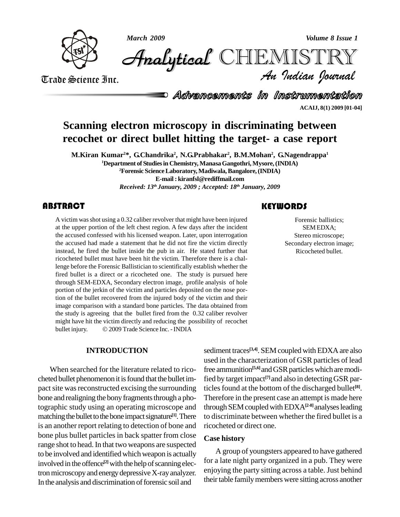





*Volume 8 Issue 1*<br>IISTRY<br>Indian Iournal CHEMISTRY

Trade Science Inc. Trade Science Inc.

Advancements in Instrumentation

**ACAIJ, 8(1) 2009 [01-04]**

# **Scanning electron microscopy in discriminating between recochet or direct bullet hitting the target- a case report**

**M.Kiran Kumar <sup>2</sup>\*, G.Chandrika 2 , N.G.Prabhakar 2 , B.M.Mohan 2 , G.Nagendrappa 1 <sup>1</sup>Department of Studiesin Chemistry, ManasaGangothri,Mysore,(INDIA) <sup>2</sup>Forensic ScienceLaboratory,Madiwala,Bangalore,(INDIA) E-mail : [kiranfsl@rediffmail.com](mailto:kiranfsl@rediffmail.com)** *Received: 13 th January, 2009 ; Accepted: 18 th January, 2009*

## **ABSTRACT**

A victim was shot using a<br>at the upper portion of the<br>the accused confessed w A victim was shot using a 0.32 caliber revolver that might have been injured at the upper portion of the left chest region. A few days after the incident the accused confessed with his licensed weapon. Later, upon interrogation the accused had made a statement that he did not fire the victim directly instead, he fired the bullet inside the pub in air. He stated further that ricocheted bullet must have been hit the victim. Therefore there is a challenge before the Forensic Ballistician to scientifically establish whether the fired bullet is a direct or a ricocheted one. The study is pursued here through SEM-EDXA, Secondary electron image, profile analysis of hole portion of the jerkin of the victim and particles deposited on the nose portion of the bullet recovered from the injured body of the victim and their image comparison with a standard bone particles. The data obtained from the study is agreeing that the bullet fired from the 0.32 caliber revolver<br>might have hit the victim directly and reducing the possibility of recochet<br>bullet injury. © 2009 Trade Science Inc. - INDIA might have hit the victim directly and reducing the possibility of recochet

#### **INTRODUCTION**

When searched for the literature related to rico cheted bullet phenomenon it is found that the bullet impact site was reconstructed excising the surrounding bone and realigning the bony fragments through a photographic study using an operating microscope and matching the bullet to the bone impact signature<sup>[1]</sup>. There to dise is an another report relating to detection of bone and bone plus bullet particles in back spatter from close range shot to head. In that two weapons are suspected to be involved and identified which weapon is actually involved in the offence<sup>[2]</sup> with the help of scanning electron microscopy and energy depressive X-ray analyzer. In the analysis and discrimination of forensic soil and

# **KEYWORDS**

Forensic ballistics;<br>
SEM EDXA;<br>
Stereo microscope; Forensic ballistics; SEMEDXA; Secondary electron image; Ricocheted bullet.

sediment traces<sup>[3,4]</sup>. SEM coupled with EDXA are also used in the characterization of GSR particles of lead free ammunition<sup>[5,6]</sup> and GSR particles which are modified by target impact **[7]**and also in detectingGSR particles found at the bottom of the discharged bullet<sup>[8]</sup>. Therefore in the present case an attempt is made here through SEM coupled with EDXA<sup>[2-8]</sup> analyses leading to discriminate between whether the fired bullet is a ricocheted or direct one.

#### **Case history**

A group of youngsters appeared to have gathered for a late night party organized in a pub. They were enjoying the party sitting across a table. Just behind their table family members were sitting across another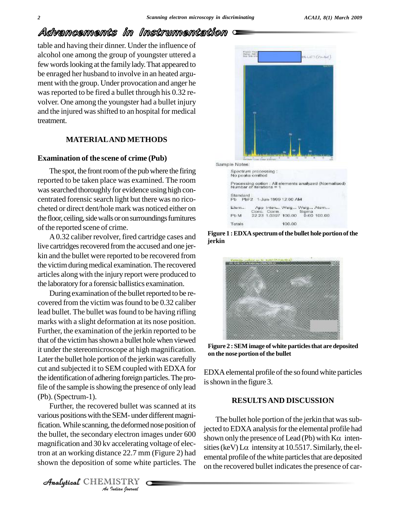LLET (Poster)

# Advancements in Instrumentation

table and having their dinner. Under the influence of alcohol one among the group of youngster uttered a few words looking at the family lady. That appeared to be enraged her husband to involve in an heated argu ment with the group. Under provocation and anger he was reported to be fired a bullet through his 0.32 revolver. One among the youngster had a bullet injury and the injured wasshifted to an hospital for medical treatment.

## **MATERIALAND METHODS**

#### **Examination of the scene of crime (Pub)**

The spot, the front room of the pub where the firing The spot, the front room of the pub where the firing<br>reported to be taken place was examined. The room<br>Francescast policies is a processing conditions in the first conditions is a spectrum of the public of the plants in a was searched thoroughly for evidence using high concentrated forensic search light but there was no rico cheted or direct dent/hole mark was noticed either on the floor, ceiling, side walls or on surroundings furnitures of the reported scene of crime.

A0.32 caliber revolver, fired cartridge cases and live cartridges recovered from the accused and one jerkin and the bullet were reported to be recovered from the victimduringmedical examination.The recovered articles along with the injury report were produced to the laboratory for a forensic ballistics examination.

During examination of the bullet reported to be recovered from the victim was found to be 0.32 caliber lead bullet. The bullet was found to be having rifling marks with a slight deformation at its nose position. Further, the examination of the jerkin reported to be that of the victim has shown a bullet hole when viewed it under the stereomicroscope at high magnification. Later the bullet hole portion of the jerkin was carefully cut and subjected it to SEM coupled with EDXA for the identification of adhering foreign particles. The profile of the sample is showing the presence of only lead (Pb). (Spectrum-1).

the bullet, the secondary electron images under 600 shown *I* accelerating<br> *Ince 22.7 mn*<br> *I* some whit<br> *IISTRY* Further, the recovered bullet was scanned at its various positions with the SEM- under different magnification. While scanning, the deformed nose position of magnification and 30 kv accelerating voltage of electron at an working distance 22.7 mm (Figure 2) had  $\frac{\text{mass}}{\text{amonta}}$ shown the deposition of some white particles. The

Analytical CHEMISTRY

Sample Notes: Standard  $P<sub>b</sub>$ PbF2 1-Jun-1999 12:00 AM

Derice Re

App Intenu. Weig... Weig... Atem... Elem... Conc. Corm. Sigma<br>22.23 1.0397 100.00 0.00 100.00 Pb M Totals 100.00

**Figure 1 :EDXA spectrumofthe bullet hole portionofthe jerkin**



**Figure 2 : SEM image of white particlesthat are deposited on the nose portion of the bullet**

EDXA elemental profile of the sofound white particles is shown in the figure 3.

## **RESULTSAND DISCUSSION**

The bullet hole portion of the jerkin that was subjected to EDXA analysis for the elemental profile had The bullet hole portion of the jerkin that was sub-<br>jected to EDXA analysis for the elemental profile had<br>shown only the presence of Lead (Pb) with  $K\alpha$  intenjected to EDXA analysis for the elemental profile had<br>shown only the presence of Lead (Pb) with  $K\alpha$  intensities (keV) L $\alpha$  intensity at 10.5517. Similarly, the elemental profile of the white particles that are deposited on the recovered bullet indicates the presence of car-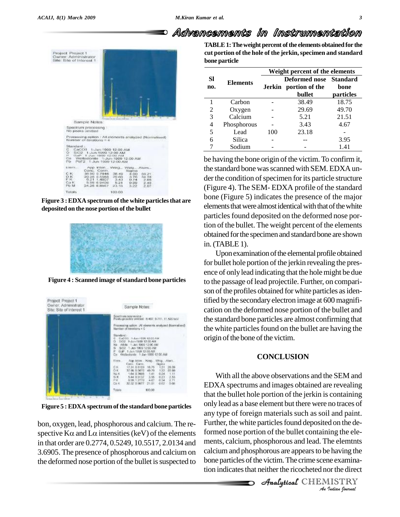# Advancements in Instrumentation



**Figure**  $3:$  **EDXA** spectrum of the white particles that are **deposited on the nose portion ofthe bullet**



**Figure 4 : Scanned image of standard bone particles** 



**Figure 5 :EDXA spectrumof the standard bone particles**

bon, oxygen, lead, phosphorous and calcium. The re any t<br>bon, oxygen, lead, phosphorous and calcium. The re- Furth<br>spective Kα and Lα intensities (keV) of the elements form in thatorder are 0.2774, 0.5249, 10.5517, 2.0134 and 3.6905. The presence of phosphorous and calcium on the deformed nose portion of the bullet is suspected to

**TABLE1:Theweight percent ofthe elements obtainedfor the cut portion of the hole of the jerkin,specimen and standard bone particle**

| <b>Sl</b><br>no. | <b>Elements</b> | Weight percent of the elements |                                                           |                   |
|------------------|-----------------|--------------------------------|-----------------------------------------------------------|-------------------|
|                  |                 |                                | Deformed nose Standard<br>Jerkin portion of the<br>bullet | bone<br>particles |
|                  | Carbon          |                                | 38.49                                                     | 18.75             |
| 2                | Oxygen          |                                | 29.69                                                     | 49.70             |
| 3                | Calcium         |                                | 5.21                                                      | 21.51             |
| 4                | Phosphorous     |                                | 3.43                                                      | 4.67              |
| 5                | Lead            | 100                            | 23.18                                                     |                   |
| 6                | Silica          |                                |                                                           | 3.95              |
|                  | Sodium          |                                |                                                           | 1.41              |

be having the bone origin of the victim.To confirm it, the standard bone was scanned with SEM. EDXA under the condition of specimen for its particle structure (Figure 4). The SEM- EDXA profile of the standard bone (Figure 5) indicates the presence of the major elements that were almost identical with that of the white particles found deposited on the deformed nose portion of the bullet. The weight percent of the elements obtained for the specimen and standard bone are shown in.(TABLE 1).

Upon examination of the elemental profile obtained for bullet hole portion of the jerkin revealing the presence of only lead indicating that the hole might be due to the passage of lead projectile. Further, on comparison of the profiles obtained for white particles as identified bythe secondary electron image at 600 magnifi cation on the deformed nose portion of the bullet and the standard bone particles are almost confirming that the white particles found on the bullet are having the origin of the bone of the victim.

## **CONCLUSION**

*An*formed nose portion of the bullet containing the ele- *Ing the elemthts*<br> *e having the*<br> *i*e examination<br> *I*ISTRY<br> *Indian gournal* Formed nose portion of the edited conditioning the elements, calcium, phosphorous and lead. The elements With all the above observations and the SEM and EDXA spectrums and images obtained are revealing that the bullet hole portion of the jerkin is containing only lead as a base element but there were no traces of any type of foreign materials such as soil and paint. Further, the white particles found deposited on the decalcium and phosphorous are appears to be having the bone particles of the victim. The crime scene examination indicates that neither the ricocheted nor the direct

CHEMISTRY